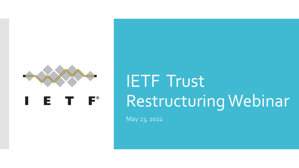

# IETF Trust Restructuring Webinar

May 23, 2022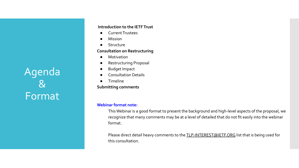Agenda & Format

#### **Introduction to the IETF Trust**

- **Current Trustees**
- **Mission**
- **Structure**

#### **Consultation on Restructuring**

- Motivation
- **Restructuring Proposal**
- **Budget Impact**
- **Consultation Details**
- **Timeline**
- **Submitting comments**

### **Webinar format note:**

This Webinar is a good format to present the background and high-level aspects of the proposal, we recognize that many comments may be at a level of detailed that do not fit easily into the webinar format.

Please direct detail heavy comments to the [TLP-INTEREST@IETF.ORG](mailto:TLP-INTEREST@IETF.ORG) list that is being used for this consultation.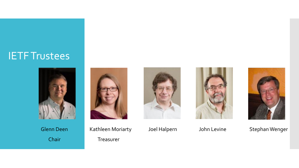### IETF Trustees





Glenn Deen Kathleen Moriarty Joel Halpern John Levine Stephan Wenger Chair Treasurer



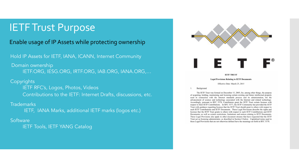### IETF Trust Purpose

### Enable usage of IP Assets while protecting ownership

Hold IP Assets for IETF, IANA, ICANN, Internet Community

 Domain ownership IETF.ORG, IESG.ORG, IRTF.ORG, IAB.ORG, IANA.ORG,...

### Copyrights

IETF RFC's, Logos, Photos, Videos Contributions to the IETF: Internet Drafts, discussions, etc.

**Trademarks** 

IETF, IANA Marks, additional IETF marks (logos etc.)

### **Software**

**IETF Tools, IETF YANG Catalog** 



#### **IETF TRUST**

#### **Legal Provisions Relating to IETF Documents**

Effective Date: March 25, 2015

Background 1.

The IETF Trust was formed on December 15, 2005, for, among other things, the purpose of acquiring, holding, maintaining and licensing certain existing and future intellectual property used in connection with the Internet standards process and its administration, for the advancement of science and technology associated with the Internet and related technology. Accordingly, pursuant to RFC 5378, Contributors grant the IETF Trust certain licenses with respect to their IETF Contributions. In RFC 5377, the IETF Community has provided the IETF Trust with guidance regarding licenses that the IETF Trust should grant to others with respect to such IETF Contributions and IETF Documents. These Legal Provisions describe the rights and licenses that the IETF Trust grants to others with respect to such IETF Contributions and IETF Documents; as well as certain restrictions, limitations and notices relating to IETF Documents. These Legal Provisions also apply to other document streams that have requested that the IETF Trust act as licensing administrator, as described in Section 8 below. Capitalized terms used in these Legal Provisions that are not otherwise defined have the meanings set forth in RFC 5378.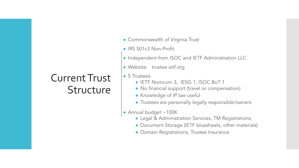### Current Trust **Structure**

- Commonwealth of Virginia Trust
- IRS 501c3 Non-Profit
- Independent from ISOC and IETF Administration LLC
- Website: trustee.ietf.org
- 5 Trustees
	- IETF Nomcom 3, IESG 1, ISOC BoT 1
	- No financial support (travel or compensation)
	- Knowledge of IP law useful
	- Trustees are personally legally responsible/owners
- Annual budget ~100K
	- Legal & Administration Services, TM Registrations,
	- Document Storage (IETF bluesheets, other materials)
	- Domain Registrations, Trustee Insurance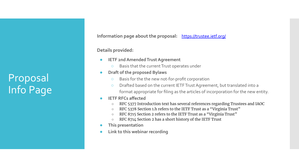Proposal Info Page **Information page about the proposal:** [https://trustee.ietf.org/](https://trustee.ietf.org/about/community-consultation-on-restructuring-the-ietf-trust/)

**Details provided:**

- **IETF 2nd Amended Trust Agreement** 
	- Basis that the current Trust operates under
- **Draft of the proposed Bylaws** 
	- Basis for the the new not-for-profit corporation
	- Drafted based on the current IETF Trust Agreement, but translated into a format appropriate for filing as the articles of incorporation for the new entity.
- **● IETF RFCs affected**
	- RFC 5377 Introduction text has several references regarding Trustees and IAOC
	- RFC 5378 Section 1.h refers to the IETF Trust as a "Virginia Trust"
	- RFC 8715 Section 2 refers to the IETF Trust as a "Virginia Trust"
	- RFC 8714 Section 2 has a short history of the IETF Trust
- **● This presentation**
- **● Link to this webinar recording**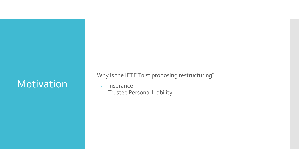### **Motivation**

Why is the IETF Trust proposing restructuring?

- Insurance
- Trustee Personal Liability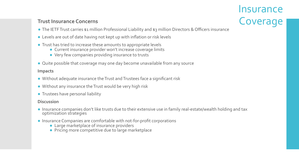- **Insurance Trust Insurance Concerns** Coverage
- The IETF Trust carries \$1 million Professional Liability and \$3 million Directors & Officers insurance
- Levels are out of date having not kept up with inflation or risk levels
- Trust has tried to increase these amounts to appropriate levels
	- Current insurance provider won't increase coverage limits
	- Very few companies providing insurance to trusts
- Quite possible that coverage may one day become unavailable from any source

### **Impacts**

- Without adequate insurance the Trust and Trustees face a significant risk
- Without any insurance the Trust would be very high risk
- Trustees have personal liability

### **Discussion**

- Insurance companies don't like trusts due to their extensive use in family real-estate/wealth holding and tax optimization strategies
- Insurance Companies are comfortable with not-for-profit corporations
	- Large marketplace of insurance providers
	- Pricing more competitive due to large marketplace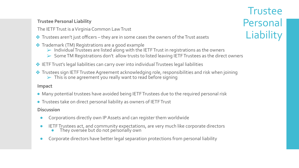### **Trustee Personal Liability**

- The IETF Trust is a Virginia Common Law Trust
- ❖ Trustees aren't just officers they are in some cases the owners of the Trust assets
- ❖ Trademark (TM) Registrations are a good example
	- $\triangleright$  Individual Trustees are listed along with the IETF Trust in registrations as the owners
	- ➢ Some TM Registrations don't allow trusts to listed leaving IETF Trustees as the direct owners
- ❖ IETF Trust's legal liabilities can carry over into individual Trustees legal liabilities
- ❖ Trustees sign IETF Trustee Agreement acknowledging role, responsibilities and risk when joining  $\triangleright$  This is one agreement you really want to read before signing

### **Impact**

- Many potential trustees have avoided being IETF Trustees due to the required personal risk
- Trustees take on direct personal liability as owners of IETF Trust

### **Discussion**

- Corporations directly own IP Assets and can register them worldwide
- IETF Trustees act, and community expectations, are very much like corporate directors
	- **•** They oversee but do not personally own
- Corporate directors have better legal separation protections from personal liability

### **Trustee** Personal **Liability**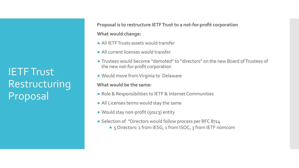IETF Trust Restructuring Proposal

**Proposal is to restructure IETF Trust to a not-for-profit corporation What would change:**

- All IETF Trusts assets would transfer
- All current licenses would transfer
- Trustees would become "demoted" to "directors" on the new Board of Trustees of the new not-for-profit corporation
- Would move from Virginia to Delaware

### **What would be the same:**

- Role & Responsibilities to IETF & Internet Communities
- All Licenses terms would stay the same
- Would stay non-profit (501c3) entity
- Selection of "Directors would follow process per RFC 8714
	- 5 Directors: 1 from IESG, 1 from ISOC, 3 from IETF nomcom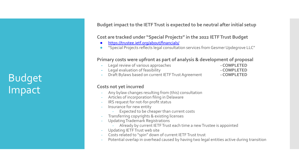Budget Impact

**Budget impact to the IETF Trust is expected to be neutral after initial setup**

**Cost are tracked under "Special Projects" in the 2022 IETF Trust Budget**

- <https://trustee.ietf.org/about/financials/>
- "Special Projects reflects legal consultation services from Gesmer Updegrove LLC"

**Primary costs were upfront as part of analysis & development of proposal**

- **-** Legal review of various approaches **COMPLETED**
- **-** Legal evaluation of feasibility **COMPLETED**
- -
- **-** Draft Bylaws based on current IETF Trust Agreement **COMPLETED**

### **Costs not yet incurred**

- Any bylaw changes resulting from (this) consultation
- Articles of incorporation filing in Delaware
- IRS request for not-for-profit status
- Insurance for new entity
	- Expected to be cheaper than current costs
- Transferring copyrights & existing licenses
- Updating Trademark Registrations
	- Already by current IETF Trust each time a new Trustee is appointed
- Updating IETF Trust web site
- Costs related to "spin" down of current IETF Trust trust
- Potential overlap in overhead caused by having two legal entities active during transition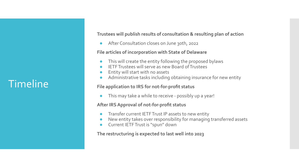### Timeline

**Trustees will publish results of consultation & resulting plan of action**

After Consultation closes on June 30th, 2022

### **File articles of incorporation with State of Delaware**

- This will create the entity following the proposed bylaws
- IETF Trustees will serve as new Board of Trustees
- Entity will start with no assets
- Administrative tasks including obtaining insurance for new entity

### **File application to IRS for not-for-profit status**

This may take a while to receive - possibly up a year!

### **After IRS Approval of not-for-profit status**

- Transfer current IETF Trust IP assets to new entity
- New entity takes over responsibility for managing transferred assets
- Current IETF Trust is "spun" down

### **The restructuring is expected to last well into 2023**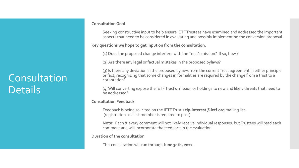## Consultation **Details**

#### **Consultation Goal**

Seeking constructive input to help ensure IETF Trustees have examined and addressed the important aspects that need to be considered in evaluating and possibly implementing the conversion proposal.

### **Key questions we hope to get input on from the consultation**:

(1) Does the proposed change interfere with the Trust's mission? If so, how ?

(2) Are there any legal or factual mistakes in the proposed bylaws?

(3) Is there any deviation in the proposed bylaws from the current Trust agreement in either principle or fact, recognizing that some changes in formalities are required by the change from a trust to a corporation?

(4) Will converting expose the IETF Trust's mission or holdings to new and likely threats that need to be addressed?

#### **Consultation Feedback**

Feedback is being solicited on the IETF Trust's **tlp-interest@ietf.org** mailing list. (registration as a list member is required to post).

**Note:** Each & every comment will not likely receive individual responses, but Trustees will read each comment and will incorporate the feedback in the evaluation

### **Duration of the consultation**

This consultation will run through **June 30th, 2022**.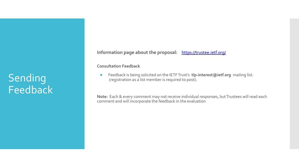## **Sending** Feedback

**Information page about the proposal:** [https://trustee.ietf.org/](https://trustee.ietf.org/about/community-consultation-on-restructuring-the-ietf-trust/)

**Consultation Feedback**

**●** Feedback is being solicited on the IETF Trust's **tlp-interest@ietf.org** mailing list. (registration as a list member is required to post).

**Note:** Each & every comment may not receive individual responses, but Trustees will read each comment and will incorporate the feedback in the evaluation